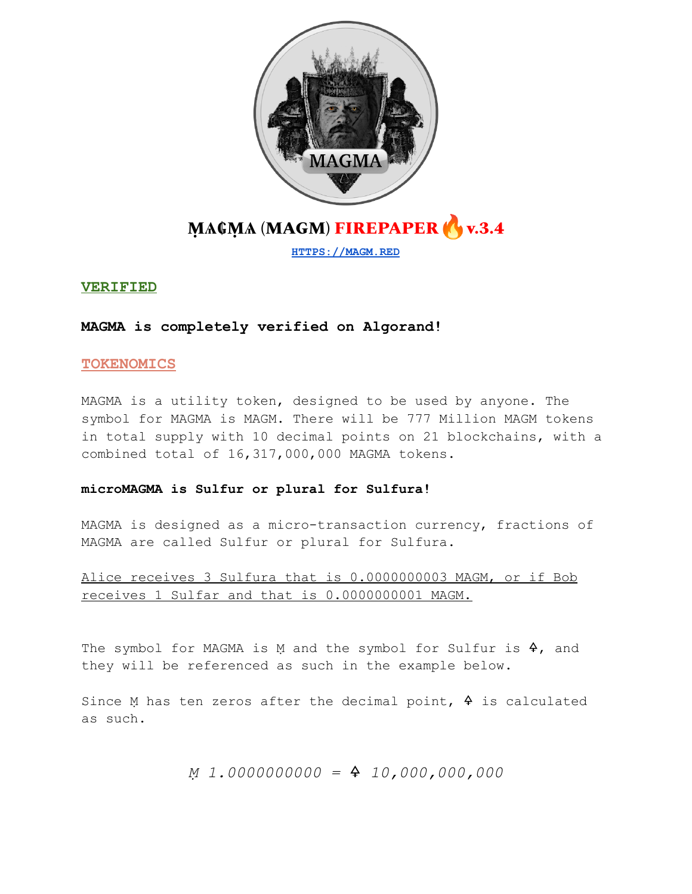

# **VERIFIED**

# **MAGMA is completely verified on Algorand!**

# **TOKENOMICS**

MAGMA is a utility token, designed to be used by anyone. The symbol for MAGMA is MAGM. There will be 777 Million MAGM tokens in total supply with 10 decimal points on 21 blockchains, with a combined total of 16,317,000,000 MAGMA tokens.

## **microMAGMA is Sulfur or plural for Sulfura!**

MAGMA is designed as a micro-transaction currency, fractions of MAGMA are called Sulfur or plural for Sulfura.

# Alice receives 3 Sulfura that is 0.0000000003 MAGM, or if Bob receives 1 Sulfar and that is 0.0000000001 MAGM.

The symbol for MAGMA is M and the symbol for Sulfur is  $4$ , and they will be referenced as such in the example below.

Since  $M$  has ten zeros after the decimal point,  $4$  is calculated as such.

Ṃ *1.0000000000 = 10,000,000,000*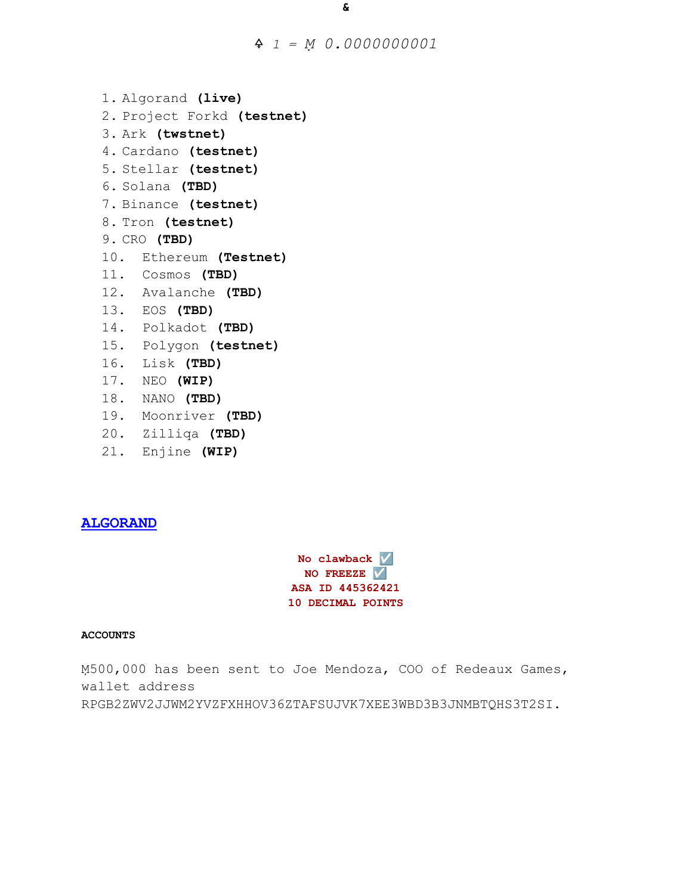*1 =* Ṃ *0.0000000001*

```
1. Algorand (live)
2. Project Forkd (testnet)
3. Ark (twstnet)
4. Cardano (testnet)
5. Stellar (testnet)
6. Solana (TBD)
7. Binance (testnet)
8. Tron (testnet)
9. CRO (TBD)
10. Ethereum (Testnet)
11. Cosmos (TBD)
12. Avalanche (TBD)
13. EOS (TBD)
14. Polkadot (TBD)
15. Polygon (testnet)
16. Lisk (TBD)
17. NEO (WIP)
18. NANO (TBD)
19. Moonriver (TBD)
20. Zilliqa (TBD)
```
21. Enjine **(WIP)**

# **ALGORAND**

**No clawback** ☑️ **NO FREEZE** ☑️ **ASA ID 445362421 10 DECIMAL POINTS**

### **ACCOUNTS**

Ṃ500,000 has been sent to Joe Mendoza, COO of Redeaux Games, wallet address RPGB2ZWV2JJWM2YVZFXHHOV36ZTAFSUJVK7XEE3WBD3B3JNMBTQHS3T2SI.

**&**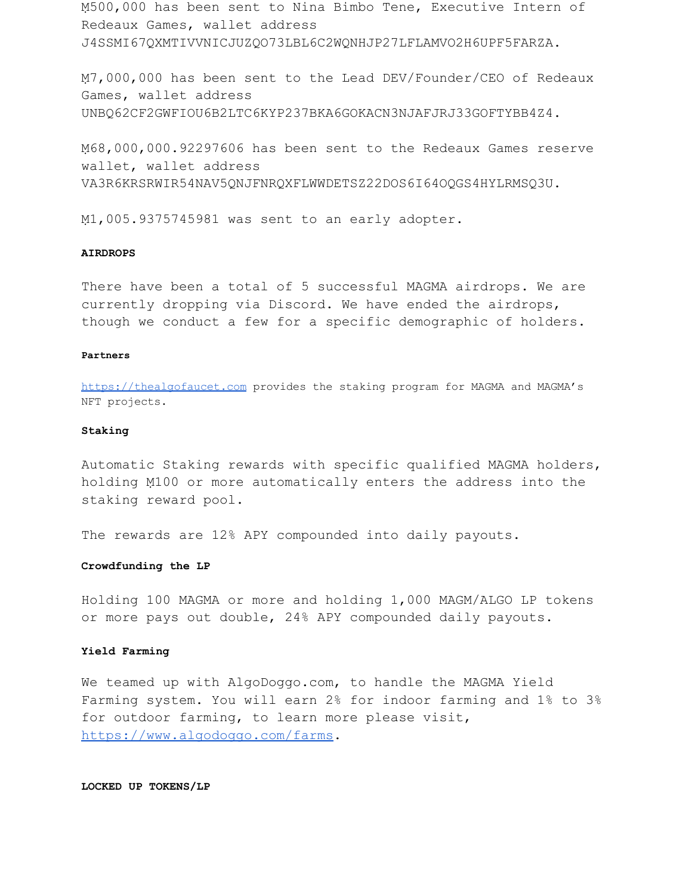Ṃ500,000 has been sent to Nina Bimbo Tene, Executive Intern of Redeaux Games, wallet address J4SSMI67QXMTIVVNICJUZQO73LBL6C2WQNHJP27LFLAMVO2H6UPF5FARZA.

Ṃ7,000,000 has been sent to the Lead DEV/Founder/CEO of Redeaux Games, wallet address UNBQ62CF2GWFIOU6B2LTC6KYP237BKA6GOKACN3NJAFJRJ33GOFTYBB4Z4.

Ṃ68,000,000.92297606 has been sent to the Redeaux Games reserve wallet, wallet address VA3R6KRSRWIR54NAV5QNJFNRQXFLWWDETSZ22DOS6I64OQGS4HYLRMSQ3U.

Ṃ1,005.9375745981 was sent to an early adopter.

#### **AIRDROPS**

There have been a total of 5 successful MAGMA airdrops. We are currently dropping via Discord. We have ended the airdrops, though we conduct a few for a specific demographic of holders.

#### **Partners**

<https://thealgofaucet.com> provides the staking program for MAGMA and MAGMA's NFT projects.

#### **Staking**

Automatic Staking rewards with specific qualified MAGMA holders, holding M100 or more automatically enters the address into the staking reward pool.

The rewards are 12% APY compounded into daily payouts.

### **Crowdfunding the LP**

Holding 100 MAGMA or more and holding 1,000 MAGM/ALGO LP tokens or more pays out double, 24% APY compounded daily payouts.

### **Yield Farming**

We teamed up with AlgoDoggo.com, to handle the MAGMA Yield Farming system. You will earn 2% for indoor farming and 1% to 3% for outdoor farming, to learn more please visit, <https://www.algodoggo.com/farms>.

**LOCKED UP TOKENS/LP**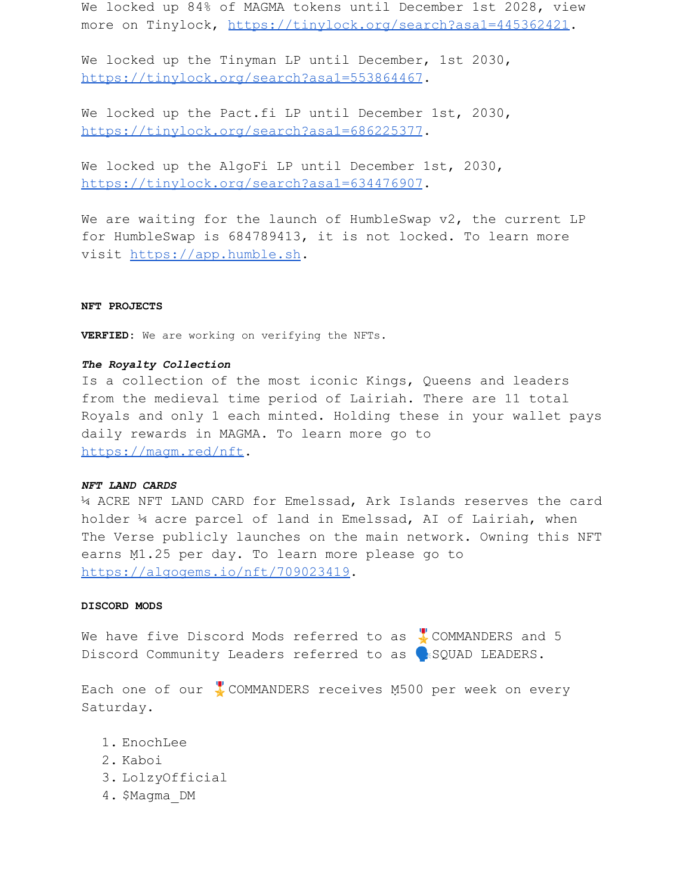We locked up 84% of MAGMA tokens until December 1st 2028, view more on Tinylock, <https://tinylock.org/search?asa1=445362421>.

We locked up the Tinyman LP until December, 1st 2030, <https://tinylock.org/search?asa1=553864467>.

We locked up the Pact.fi LP until December 1st, 2030, <https://tinylock.org/search?asa1=686225377>.

We locked up the AlgoFi LP until December 1st, 2030, <https://tinylock.org/search?asa1=634476907>.

We are waiting for the launch of HumbleSwap v2, the current LP for HumbleSwap is 684789413, it is not locked. To learn more visit <https://app.humble.sh>.

#### **NFT PROJECTS**

**VERFIED:** We are working on verifying the NFTs.

#### *The Royalty Collection*

Is a collection of the most iconic Kings, Queens and leaders from the medieval time period of Lairiah. There are 11 total Royals and only 1 each minted. Holding these in your wallet pays daily rewards in MAGMA. To learn more go to <https://magm.red/nft>.

### *NFT LAND CARDS*

¼ ACRE NFT LAND CARD for Emelssad, Ark Islands reserves the card holder ¼ acre parcel of land in Emelssad, AI of Lairiah, when The Verse publicly launches on the main network. Owning this NFT earns M1.25 per day. To learn more please go to [https://algogems.io/nft/709023419.](https://algogems.io/nft/709023419)

### **DISCORD MODS**

We have five Discord Mods referred to as  $\sqrt{\ }$  COMMANDERS and 5 Discord Community Leaders referred to as SQUAD LEADERS.

Each one of our  $\sqrt{2}$  COMMANDERS receives M500 per week on every Saturday.

- 1. EnochLee
- 2. Kaboi
- 3. LolzyOfficial
- 4. \$Magma\_DM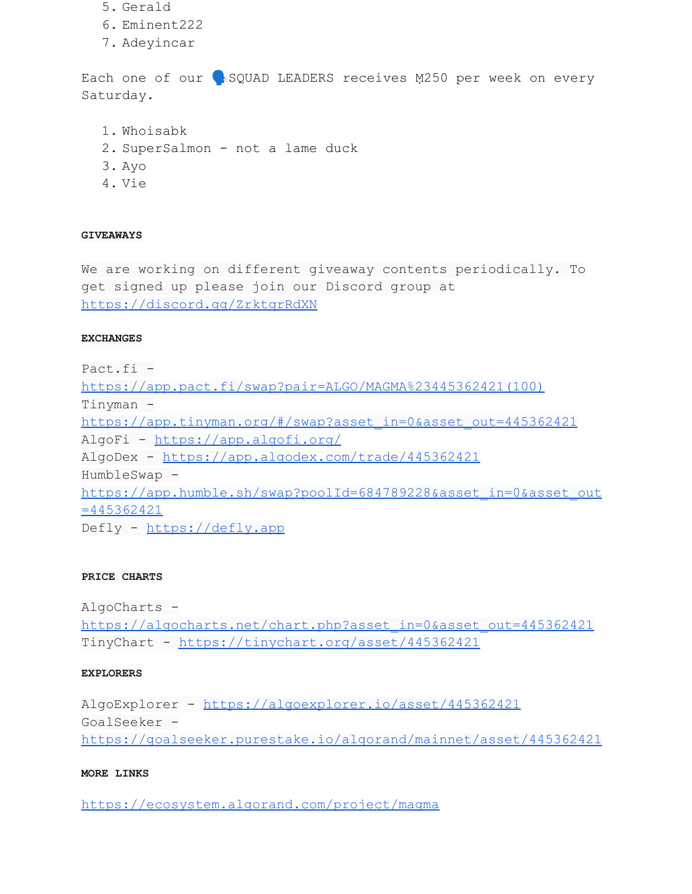- 5. Gerald
- 6. Eminent222
- 7. Adeyincar

Each one of our SQUAD LEADERS receives M250 per week on every Saturday.

- 1. Whoisabk
- 2. SuperSalmon not a lame duck
- 3. Ayo
- 4. Vie

# **GIVEAWAYS**

We are working on different giveaway contents periodically. To get signed up please join our Discord group at <https://discord.gg/ZrktqrRdXN>

# **EXCHANGES**

Pact.fi [https://app.pact.fi/swap?pair=ALGO/MAGMA%23445362421\(100\)](https://app.pact.fi/swap?pair=ALGO/MAGMA%23445362421(100)) Tinyman [https://app.tinyman.org/#/swap?asset\\_in=0&asset\\_out=445362421](https://app.tinyman.org/#/swap?asset_in=0&asset_out=445362421) AlgoFi - <https://app.algofi.org/> AlgoDex - <https://app.algodex.com/trade/445362421> HumbleSwap [https://app.humble.sh/swap?poolId=684789228&asset\\_in=0&asset\\_out](https://app.humble.sh/swap?poolId=684789228&asset_in=0&asset_out=445362421) [=445362421](https://app.humble.sh/swap?poolId=684789228&asset_in=0&asset_out=445362421) Defly - <https://defly.app>

## **PRICE CHARTS**

AlgoCharts [https://algocharts.net/chart.php?asset\\_in=0&asset\\_out=445362421](https://algocharts.net/chart.php?asset_in=0&asset_out=445362421) TinyChart - <https://tinychart.org/asset/445362421>

## **EXPLORERS**

AlgoExplorer - <https://algoexplorer.io/asset/445362421> GoalSeeker <https://goalseeker.purestake.io/algorand/mainnet/asset/445362421>

## **MORE LINKS**

<https://ecosystem.algorand.com/project/magma>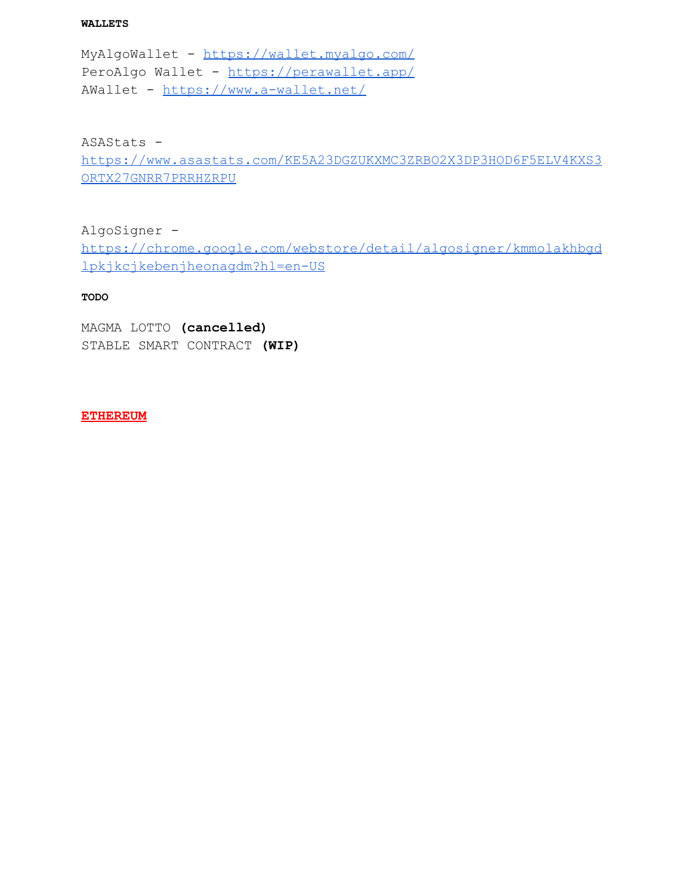#### **WALLETS**

MyAlgoWallet - <https://wallet.myalgo.com/> PeroAlgo Wallet - <https://perawallet.app/> AWallet - <https://www.a-wallet.net/>

ASAStats -

[https://www.asastats.com/KE5A23DGZUKXMC3ZRBO2X3DP3HOD6F5ELV4KXS3](https://www.asastats.com/KE5A23DGZUKXMC3ZRBO2X3DP3HOD6F5ELV4KXS3ORTX27GNRR7PRRHZRPU) [ORTX27GNRR7PRRHZRPU](https://www.asastats.com/KE5A23DGZUKXMC3ZRBO2X3DP3HOD6F5ELV4KXS3ORTX27GNRR7PRRHZRPU)

AlgoSigner -

[https://chrome.google.com/webstore/detail/algosigner/kmmolakhbgd](https://chrome.google.com/webstore/detail/algosigner/kmmolakhbgdlpkjkcjkebenjheonagdm?hl=en-US) [lpkjkcjkebenjheonagdm?hl=en-US](https://chrome.google.com/webstore/detail/algosigner/kmmolakhbgdlpkjkcjkebenjheonagdm?hl=en-US)

**TODO**

MAGMA LOTTO **(cancelled)** STABLE SMART CONTRACT **(WIP)**

# **ETHEREUM**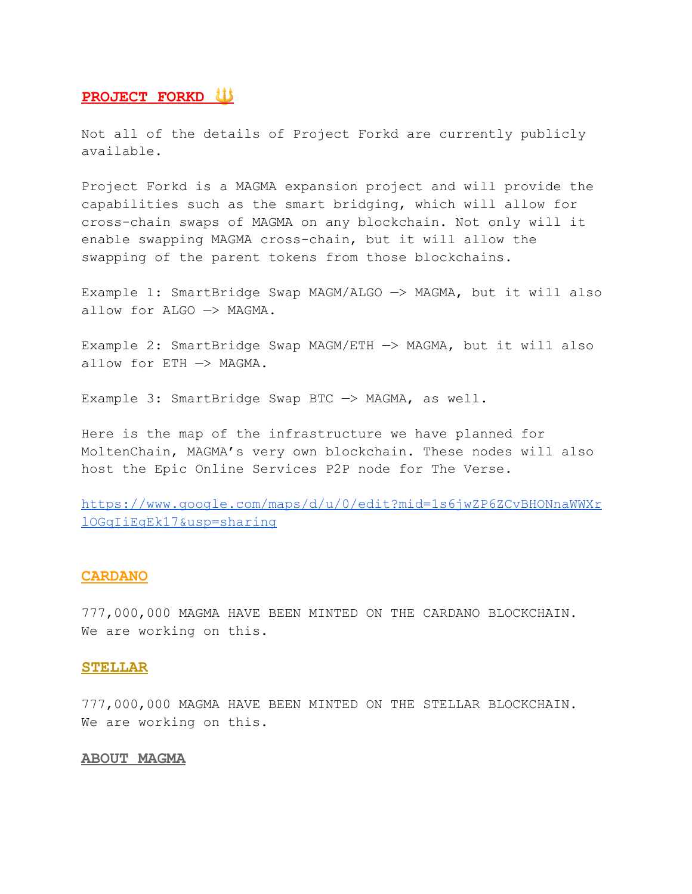# **PROJECT FORKD**

Not all of the details of Project Forkd are currently publicly available.

Project Forkd is a MAGMA expansion project and will provide the capabilities such as the smart bridging, which will allow for cross-chain swaps of MAGMA on any blockchain. Not only will it enable swapping MAGMA cross-chain, but it will allow the swapping of the parent tokens from those blockchains.

Example 1: SmartBridge Swap MAGM/ALGO —> MAGMA, but it will also allow for ALGO —> MAGMA.

Example 2: SmartBridge Swap MAGM/ETH —> MAGMA, but it will also allow for ETH —> MAGMA.

Example 3: SmartBridge Swap BTC  $\rightarrow$  MAGMA, as well.

Here is the map of the infrastructure we have planned for MoltenChain, MAGMA's very own blockchain. These nodes will also host the Epic Online Services P2P node for The Verse.

[https://www.google.com/maps/d/u/0/edit?mid=1s6jwZP6ZCvBHONnaWWXr](https://www.google.com/maps/d/u/0/edit?mid=1s6jwZP6ZCvBHONnaWWXrlOGqIiEgEk17&usp=sharing) [lOGqIiEgEk17&usp=sharing](https://www.google.com/maps/d/u/0/edit?mid=1s6jwZP6ZCvBHONnaWWXrlOGqIiEgEk17&usp=sharing)

# **CARDANO**

777,000,000 MAGMA HAVE BEEN MINTED ON THE CARDANO BLOCKCHAIN. We are working on this.

### **STELLAR**

777,000,000 MAGMA HAVE BEEN MINTED ON THE STELLAR BLOCKCHAIN. We are working on this.

### **ABOUT MAGMA**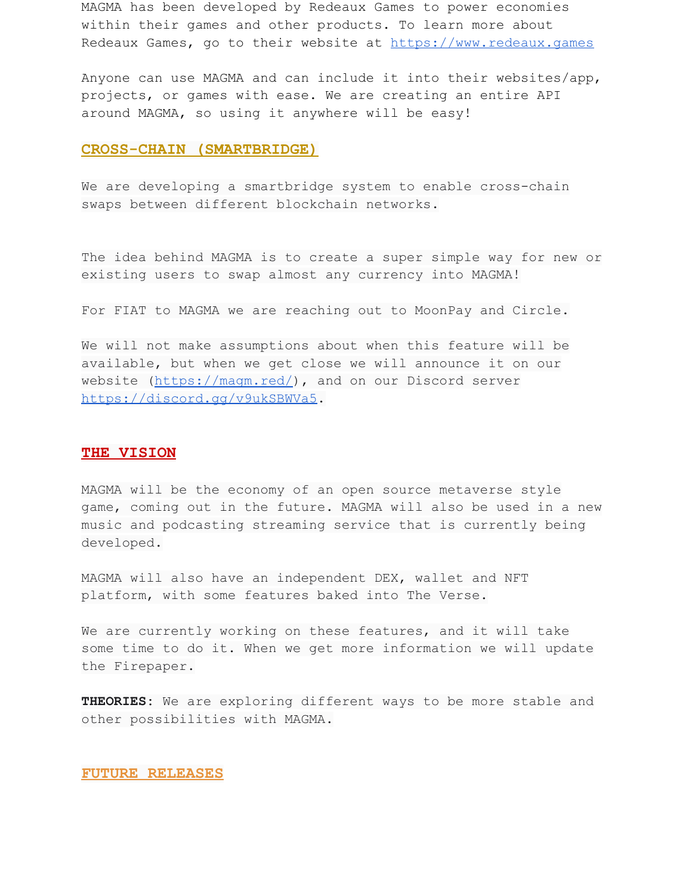MAGMA has been developed by Redeaux Games to power economies within their games and other products. To learn more about Redeaux Games, go to their website at <https://www.redeaux.games>

Anyone can use MAGMA and can include it into their websites/app, projects, or games with ease. We are creating an entire API around MAGMA, so using it anywhere will be easy!

## **CROSS-CHAIN (SMARTBRIDGE)**

We are developing a smartbridge system to enable cross-chain swaps between different blockchain networks.

The idea behind MAGMA is to create a super simple way for new or existing users to swap almost any currency into MAGMA!

For FIAT to MAGMA we are reaching out to MoonPay and Circle.

We will not make assumptions about when this feature will be available, but when we get close we will announce it on our website (<https://magm.red/>), and on our Discord server [https://discord.gg/v9ukSBWVa5.](https://discord.gg/v9ukSBWVa5)

# **THE VISION**

MAGMA will be the economy of an open source metaverse style game, coming out in the future. MAGMA will also be used in a new music and podcasting streaming service that is currently being developed.

MAGMA will also have an independent DEX, wallet and NFT platform, with some features baked into The Verse.

We are currently working on these features, and it will take some time to do it. When we get more information we will update the Firepaper.

**THEORIES:** We are exploring different ways to be more stable and other possibilities with MAGMA.

## **FUTURE RELEASES**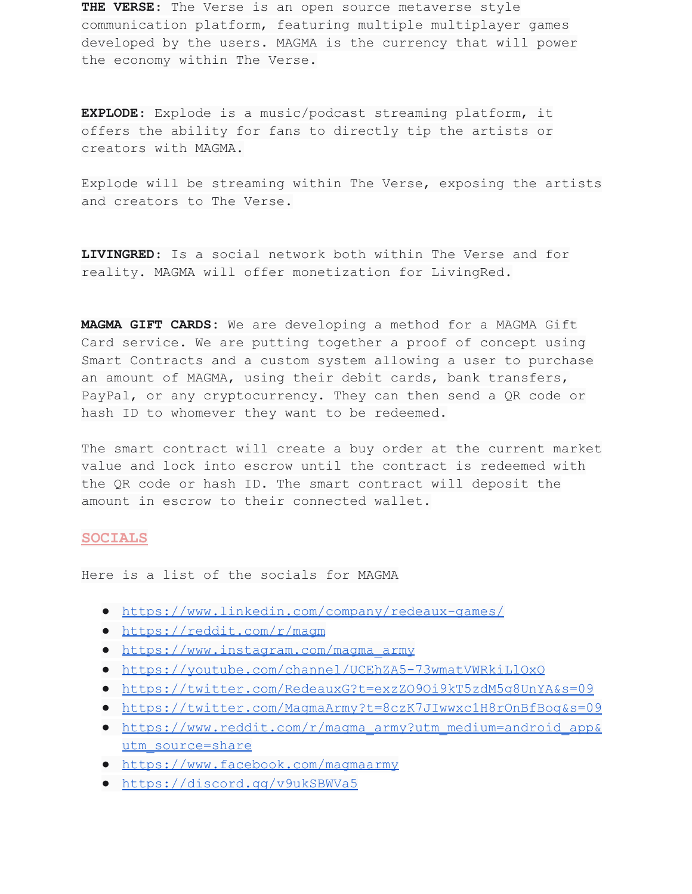**THE VERSE**: The Verse is an open source metaverse style communication platform, featuring multiple multiplayer games developed by the users. MAGMA is the currency that will power the economy within The Verse.

**EXPLODE**: Explode is a music/podcast streaming platform, it offers the ability for fans to directly tip the artists or creators with MAGMA.

Explode will be streaming within The Verse, exposing the artists and creators to The Verse.

**LIVINGRED**: Is a social network both within The Verse and for reality. MAGMA will offer monetization for LivingRed.

**MAGMA GIFT CARDS:** We are developing a method for a MAGMA Gift Card service. We are putting together a proof of concept using Smart Contracts and a custom system allowing a user to purchase an amount of MAGMA, using their debit cards, bank transfers, PayPal, or any cryptocurrency. They can then send a QR code or hash ID to whomever they want to be redeemed.

The smart contract will create a buy order at the current market value and lock into escrow until the contract is redeemed with the QR code or hash ID. The smart contract will deposit the amount in escrow to their connected wallet.

## **SOCIALS**

Here is a list of the socials for MAGMA

- <https://www.linkedin.com/company/redeaux-games/>
- <https://reddit.com/r/magm>
- [https://www.instagram.com/magma\\_army](https://www.instagram.com/magma_army)
- <https://youtube.com/channel/UCEhZA5-73wmatVWRkiLlQxQ>
- <https://twitter.com/RedeauxG?t=exzZO9Oi9kT5zdM5q8UnYA&s=09>
- <https://twitter.com/MagmaArmy?t=8czK7JIwwxc1H8rOnBfBog&s=09>
- [https://www.reddit.com/r/magma\\_army?utm\\_medium=android\\_app&](https://www.reddit.com/r/magma_army?utm_medium=android_app&utm_source=share) [utm\\_source=share](https://www.reddit.com/r/magma_army?utm_medium=android_app&utm_source=share)
- <https://www.facebook.com/magmaarmy>
- <https://discord.gg/v9ukSBWVa5>